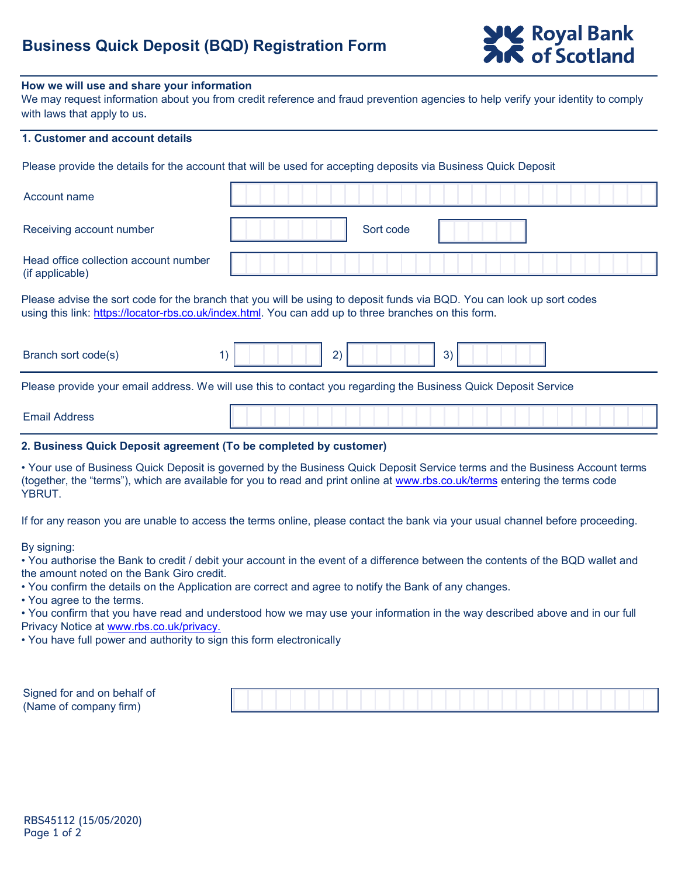# **Business Quick Deposit (BQD) Registration Form**

#### **How we will use and share your information**

We may request information about you from credit reference and fraud prevention agencies to help verify your identity to comply with laws that apply to us.

## **1. Customer and account details**

Please provide the details for the account that will be used for accepting deposits via Business Quick Deposit

| Account name                                                                                                                                                                                                                    |                    |  |  |  |  |
|---------------------------------------------------------------------------------------------------------------------------------------------------------------------------------------------------------------------------------|--------------------|--|--|--|--|
| Receiving account number                                                                                                                                                                                                        | Sort code          |  |  |  |  |
| Head office collection account number<br>(if applicable)                                                                                                                                                                        |                    |  |  |  |  |
| Please advise the sort code for the branch that you will be using to deposit funds via BQD. You can look up sort codes<br>using this link: https://locator-rbs.co.uk/index.html. You can add up to three branches on this form. |                    |  |  |  |  |
| Branch sort code(s)                                                                                                                                                                                                             | 3)<br>$\mathbf{2}$ |  |  |  |  |
| Dlagas provide vaux amplications, Maudillus this to contact vau reporting the Ducinese Ouisle Depart Capital                                                                                                                    |                    |  |  |  |  |

Please provide your email address. We will use this to contact you regarding the Business Quick Deposit Service

### **2. Business Quick Deposit agreement (To be completed by customer)**

• Your use of Business Quick Deposit is governed by the Business Quick Deposit [Service terms](http://www.rbs.co.uk/terms) and the Business Account terms (together, the "terms"), which are available for you to read and print online at www.rbs.co.uk/terms entering the terms code YBRUT.

If for any reason you are unable to access the terms online, please contact the bank via your usual channel before proceeding.

By signing:

• You authorise the Bank to credit / debit your account in the event of a difference between the contents of the BQD wallet and the amount noted on the Bank Giro credit.

• You confirm the details on the Application are correct and agree to notify the Bank of any changes.

• You agree to the terms.

• You confirm that you have read and understood how we may use your information in the way described above and in our full Privacy Notice at www.rbs.co.uk/privacy.

• You have full p[ower and authority to sign](http://www.rbs.co.uk/privacy) this form electronically

| Signed for and on behalf of |  |  |  |  |  |  |  |
|-----------------------------|--|--|--|--|--|--|--|
| (Name of company firm)      |  |  |  |  |  |  |  |